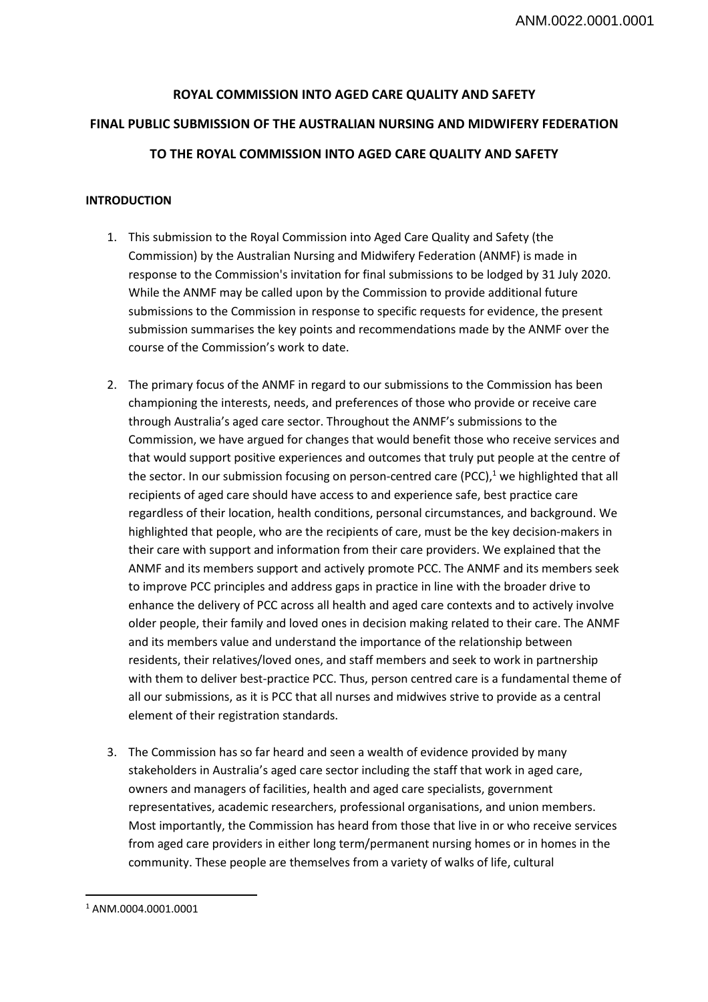# **ROYAL COMMISSION INTO AGED CARE QUALITY AND SAFETY FINAL PUBLIC SUBMISSION OF THE AUSTRALIAN NURSING AND MIDWIFERY FEDERATION TO THE ROYAL COMMISSION INTO AGED CARE QUALITY AND SAFETY**

## **INTRODUCTION**

- 1. This submission to the Royal Commission into Aged Care Quality and Safety (the Commission) by the Australian Nursing and Midwifery Federation (ANMF) is made in response to the Commission's invitation for final submissions to be lodged by 31 July 2020. While the ANMF may be called upon by the Commission to provide additional future submissions to the Commission in response to specific requests for evidence, the present submission summarises the key points and recommendations made by the ANMF over the course of the Commission's work to date.
- 2. The primary focus of the ANMF in regard to our submissions to the Commission has been championing the interests, needs, and preferences of those who provide or receive care through Australia's aged care sector. Throughout the ANMF's submissions to the Commission, we have argued for changes that would benefit those who receive services and that would support positive experiences and outcomes that truly put people at the centre of the sector. In our submission focusing on person-centred care (PCC),<sup>1</sup> we highlighted that all recipients of aged care should have access to and experience safe, best practice care regardless of their location, health conditions, personal circumstances, and background. We highlighted that people, who are the recipients of care, must be the key decision-makers in their care with support and information from their care providers. We explained that the ANMF and its members support and actively promote PCC. The ANMF and its members seek to improve PCC principles and address gaps in practice in line with the broader drive to enhance the delivery of PCC across all health and aged care contexts and to actively involve older people, their family and loved ones in decision making related to their care. The ANMF and its members value and understand the importance of the relationship between residents, their relatives/loved ones, and staff members and seek to work in partnership with them to deliver best-practice PCC. Thus, person centred care is a fundamental theme of all our submissions, as it is PCC that all nurses and midwives strive to provide as a central element of their registration standards.
- 3. The Commission has so far heard and seen a wealth of evidence provided by many stakeholders in Australia's aged care sector including the staff that work in aged care, owners and managers of facilities, health and aged care specialists, government representatives, academic researchers, professional organisations, and union members. Most importantly, the Commission has heard from those that live in or who receive services from aged care providers in either long term/permanent nursing homes or in homes in the community. These people are themselves from a variety of walks of life, cultural

 $\overline{a}$ 1 ANM.0004.0001.0001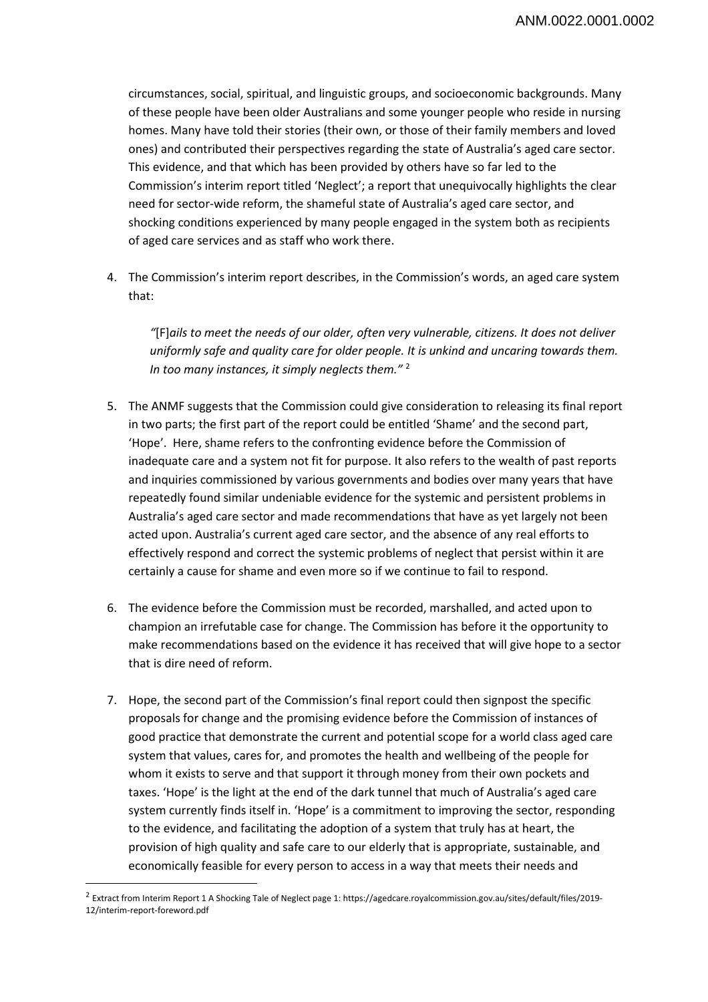circumstances, social, spiritual, and linguistic groups, and socioeconomic backgrounds. Many of these people have been older Australians and some younger people who reside in nursing homes. Many have told their stories (their own, or those of their family members and loved ones) and contributed their perspectives regarding the state of Australia's aged care sector. This evidence, and that which has been provided by others have so far led to the Commission's interim report titled 'Neglect'; a report that unequivocally highlights the clear need for sector-wide reform, the shameful state of Australia's aged care sector, and shocking conditions experienced by many people engaged in the system both as recipients of aged care services and as staff who work there.

4. The Commission's interim report describes, in the Commission's words, an aged care system that:

*"*[F]*ails to meet the needs of our older, often very vulnerable, citizens. It does not deliver uniformly safe and quality care for older people. It is unkind and uncaring towards them. In too many instances, it simply neglects them."* <sup>2</sup>

- 5. The ANMF suggests that the Commission could give consideration to releasing its final report in two parts; the first part of the report could be entitled 'Shame' and the second part, 'Hope'. Here, shame refers to the confronting evidence before the Commission of inadequate care and a system not fit for purpose. It also refers to the wealth of past reports and inquiries commissioned by various governments and bodies over many years that have repeatedly found similar undeniable evidence for the systemic and persistent problems in Australia's aged care sector and made recommendations that have as yet largely not been acted upon. Australia's current aged care sector, and the absence of any real efforts to effectively respond and correct the systemic problems of neglect that persist within it are certainly a cause for shame and even more so if we continue to fail to respond.
- 6. The evidence before the Commission must be recorded, marshalled, and acted upon to champion an irrefutable case for change. The Commission has before it the opportunity to make recommendations based on the evidence it has received that will give hope to a sector that is dire need of reform.
- 7. Hope, the second part of the Commission's final report could then signpost the specific proposals for change and the promising evidence before the Commission of instances of good practice that demonstrate the current and potential scope for a world class aged care system that values, cares for, and promotes the health and wellbeing of the people for whom it exists to serve and that support it through money from their own pockets and taxes. 'Hope' is the light at the end of the dark tunnel that much of Australia's aged care system currently finds itself in. 'Hope' is a commitment to improving the sector, responding to the evidence, and facilitating the adoption of a system that truly has at heart, the provision of high quality and safe care to our elderly that is appropriate, sustainable, and economically feasible for every person to access in a way that meets their needs and

 $\overline{a}$ 

<sup>&</sup>lt;sup>2</sup> Extract from Interim Report 1 A Shocking Tale of Neglect page 1: https://agedcare.royalcommission.gov.au/sites/default/files/2019-12/interim-report-foreword.pdf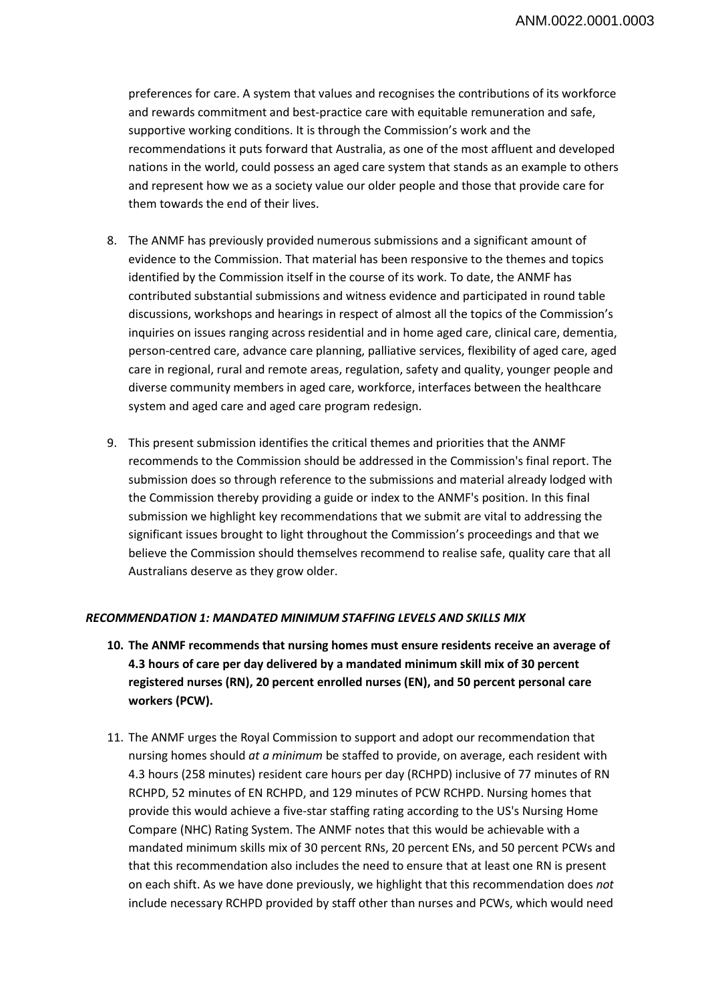preferences for care. A system that values and recognises the contributions of its workforce and rewards commitment and best-practice care with equitable remuneration and safe, supportive working conditions. It is through the Commission's work and the recommendations it puts forward that Australia, as one of the most affluent and developed nations in the world, could possess an aged care system that stands as an example to others and represent how we as a society value our older people and those that provide care for them towards the end of their lives.

- 8. The ANMF has previously provided numerous submissions and a significant amount of evidence to the Commission. That material has been responsive to the themes and topics identified by the Commission itself in the course of its work. To date, the ANMF has contributed substantial submissions and witness evidence and participated in round table discussions, workshops and hearings in respect of almost all the topics of the Commission's inquiries on issues ranging across residential and in home aged care, clinical care, dementia, person-centred care, advance care planning, palliative services, flexibility of aged care, aged care in regional, rural and remote areas, regulation, safety and quality, younger people and diverse community members in aged care, workforce, interfaces between the healthcare system and aged care and aged care program redesign.
- 9. This present submission identifies the critical themes and priorities that the ANMF recommends to the Commission should be addressed in the Commission's final report. The submission does so through reference to the submissions and material already lodged with the Commission thereby providing a guide or index to the ANMF's position. In this final submission we highlight key recommendations that we submit are vital to addressing the significant issues brought to light throughout the Commission's proceedings and that we believe the Commission should themselves recommend to realise safe, quality care that all Australians deserve as they grow older.

## *RECOMMENDATION 1: MANDATED MINIMUM STAFFING LEVELS AND SKILLS MIX*

- **10. The ANMF recommends that nursing homes must ensure residents receive an average of 4.3 hours of care per day delivered by a mandated minimum skill mix of 30 percent registered nurses (RN), 20 percent enrolled nurses (EN), and 50 percent personal care workers (PCW).**
- 11. The ANMF urges the Royal Commission to support and adopt our recommendation that nursing homes should *at a minimum* be staffed to provide, on average, each resident with 4.3 hours (258 minutes) resident care hours per day (RCHPD) inclusive of 77 minutes of RN RCHPD, 52 minutes of EN RCHPD, and 129 minutes of PCW RCHPD. Nursing homes that provide this would achieve a five-star staffing rating according to the US's Nursing Home Compare (NHC) Rating System. The ANMF notes that this would be achievable with a mandated minimum skills mix of 30 percent RNs, 20 percent ENs, and 50 percent PCWs and that this recommendation also includes the need to ensure that at least one RN is present on each shift. As we have done previously, we highlight that this recommendation does *not* include necessary RCHPD provided by staff other than nurses and PCWs, which would need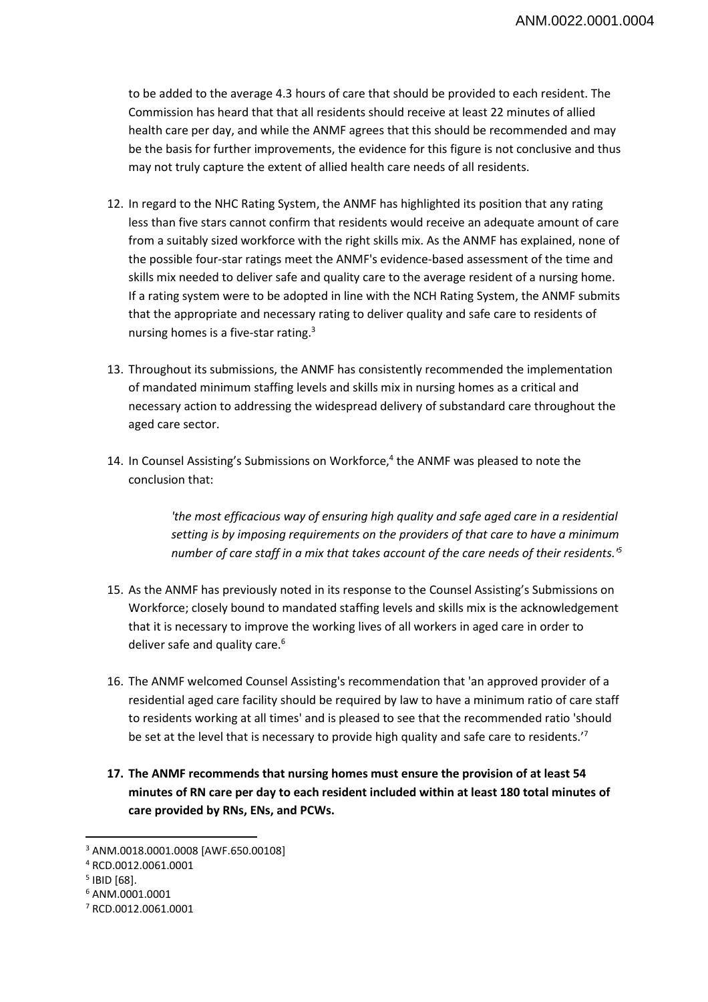to be added to the average 4.3 hours of care that should be provided to each resident. The Commission has heard that that all residents should receive at least 22 minutes of allied health care per day, and while the ANMF agrees that this should be recommended and may be the basis for further improvements, the evidence for this figure is not conclusive and thus may not truly capture the extent of allied health care needs of all residents.

- 12. In regard to the NHC Rating System, the ANMF has highlighted its position that any rating less than five stars cannot confirm that residents would receive an adequate amount of care from a suitably sized workforce with the right skills mix. As the ANMF has explained, none of the possible four-star ratings meet the ANMF's evidence-based assessment of the time and skills mix needed to deliver safe and quality care to the average resident of a nursing home. If a rating system were to be adopted in line with the NCH Rating System, the ANMF submits that the appropriate and necessary rating to deliver quality and safe care to residents of nursing homes is a five-star rating.3
- 13. Throughout its submissions, the ANMF has consistently recommended the implementation of mandated minimum staffing levels and skills mix in nursing homes as a critical and necessary action to addressing the widespread delivery of substandard care throughout the aged care sector.
- 14. In Counsel Assisting's Submissions on Workforce,<sup>4</sup> the ANMF was pleased to note the conclusion that:

*'the most efficacious way of ensuring high quality and safe aged care in a residential setting is by imposing requirements on the providers of that care to have a minimum number of care staff in a mix that takes account of the care needs of their residents.'5*

- 15. As the ANMF has previously noted in its response to the Counsel Assisting's Submissions on Workforce; closely bound to mandated staffing levels and skills mix is the acknowledgement that it is necessary to improve the working lives of all workers in aged care in order to deliver safe and quality care.<sup>6</sup>
- 16. The ANMF welcomed Counsel Assisting's recommendation that 'an approved provider of a residential aged care facility should be required by law to have a minimum ratio of care staff to residents working at all times' and is pleased to see that the recommended ratio 'should be set at the level that is necessary to provide high quality and safe care to residents.<sup>'7</sup>
- **17. The ANMF recommends that nursing homes must ensure the provision of at least 54 minutes of RN care per day to each resident included within at least 180 total minutes of care provided by RNs, ENs, and PCWs.**

 $\overline{\phantom{a}}$ 

<sup>3</sup> ANM.0018.0001.0008 [AWF.650.00108]

<sup>4</sup> RCD.0012.0061.0001

<sup>5</sup> IBID [68].

<sup>6</sup> ANM.0001.0001

<sup>7</sup> RCD.0012.0061.0001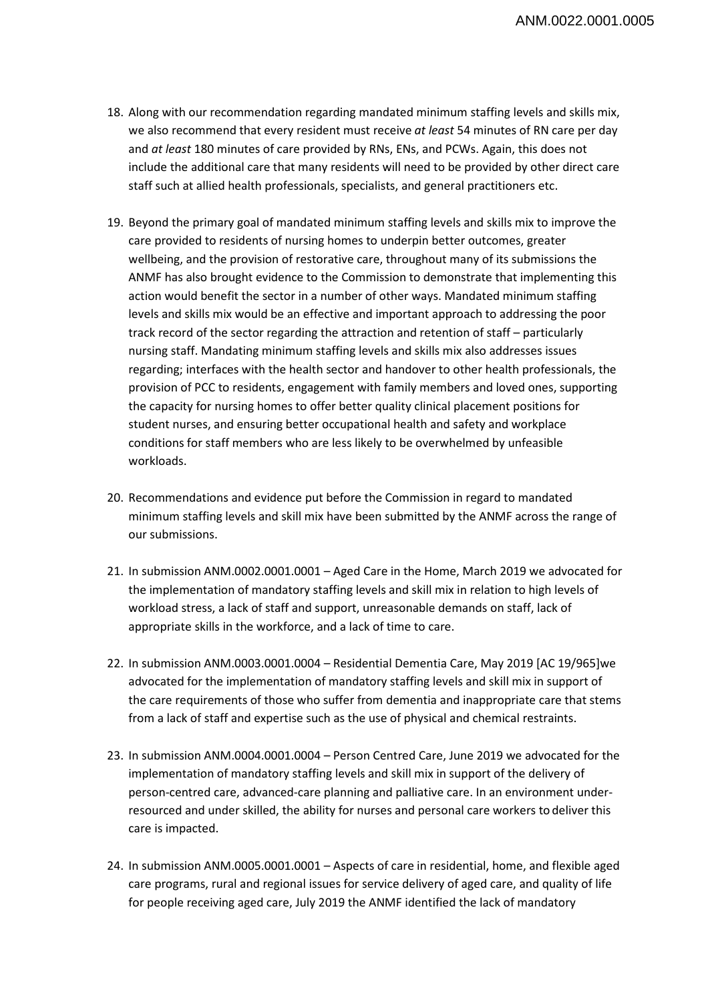- 18. Along with our recommendation regarding mandated minimum staffing levels and skills mix, we also recommend that every resident must receive *at least* 54 minutes of RN care per day and *at least* 180 minutes of care provided by RNs, ENs, and PCWs. Again, this does not include the additional care that many residents will need to be provided by other direct care staff such at allied health professionals, specialists, and general practitioners etc.
- 19. Beyond the primary goal of mandated minimum staffing levels and skills mix to improve the care provided to residents of nursing homes to underpin better outcomes, greater wellbeing, and the provision of restorative care, throughout many of its submissions the ANMF has also brought evidence to the Commission to demonstrate that implementing this action would benefit the sector in a number of other ways. Mandated minimum staffing levels and skills mix would be an effective and important approach to addressing the poor track record of the sector regarding the attraction and retention of staff – particularly nursing staff. Mandating minimum staffing levels and skills mix also addresses issues regarding; interfaces with the health sector and handover to other health professionals, the provision of PCC to residents, engagement with family members and loved ones, supporting the capacity for nursing homes to offer better quality clinical placement positions for student nurses, and ensuring better occupational health and safety and workplace conditions for staff members who are less likely to be overwhelmed by unfeasible workloads.
- 20. Recommendations and evidence put before the Commission in regard to mandated minimum staffing levels and skill mix have been submitted by the ANMF across the range of our submissions.
- 21. In submission ANM.0002.0001.0001 Aged Care in the Home, March 2019 we advocated for the implementation of mandatory staffing levels and skill mix in relation to high levels of workload stress, a lack of staff and support, unreasonable demands on staff, lack of appropriate skills in the workforce, and a lack of time to care.
- 22. In submission ANM.0003.0001.0004 Residential Dementia Care, May 2019 [AC 19/965]we advocated for the implementation of mandatory staffing levels and skill mix in support of the care requirements of those who suffer from dementia and inappropriate care that stems from a lack of staff and expertise such as the use of physical and chemical restraints.
- 23. In submission ANM.0004.0001.0004 Person Centred Care, June 2019 we advocated for the implementation of mandatory staffing levels and skill mix in support of the delivery of person-centred care, advanced-care planning and palliative care. In an environment underresourced and under skilled, the ability for nurses and personal care workers to deliver this care is impacted.
- 24. In submission ANM.0005.0001.0001 Aspects of care in residential, home, and flexible aged care programs, rural and regional issues for service delivery of aged care, and quality of life for people receiving aged care, July 2019 the ANMF identified the lack of mandatory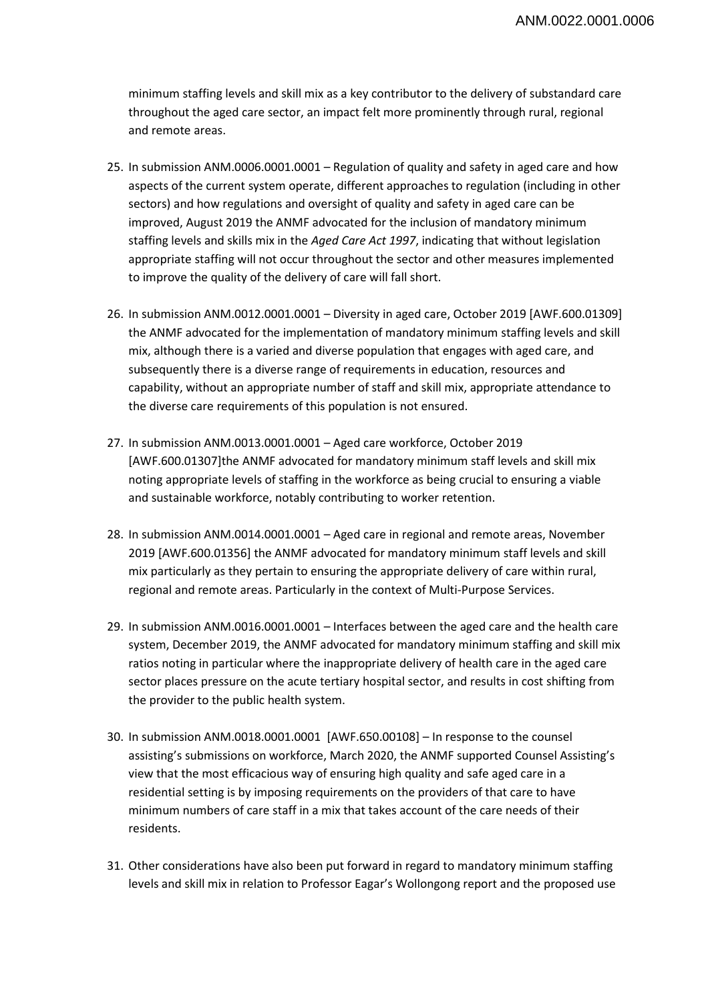minimum staffing levels and skill mix as a key contributor to the delivery of substandard care throughout the aged care sector, an impact felt more prominently through rural, regional and remote areas.

- 25. In submission ANM.0006.0001.0001 Regulation of quality and safety in aged care and how aspects of the current system operate, different approaches to regulation (including in other sectors) and how regulations and oversight of quality and safety in aged care can be improved, August 2019 the ANMF advocated for the inclusion of mandatory minimum staffing levels and skills mix in the *Aged Care Act 1997*, indicating that without legislation appropriate staffing will not occur throughout the sector and other measures implemented to improve the quality of the delivery of care will fall short.
- 26. In submission ANM.0012.0001.0001 Diversity in aged care, October 2019 [AWF.600.01309] the ANMF advocated for the implementation of mandatory minimum staffing levels and skill mix, although there is a varied and diverse population that engages with aged care, and subsequently there is a diverse range of requirements in education, resources and capability, without an appropriate number of staff and skill mix, appropriate attendance to the diverse care requirements of this population is not ensured.
- 27. In submission ANM.0013.0001.0001 Aged care workforce, October 2019 [AWF.600.01307]the ANMF advocated for mandatory minimum staff levels and skill mix noting appropriate levels of staffing in the workforce as being crucial to ensuring a viable and sustainable workforce, notably contributing to worker retention.
- 28. In submission ANM.0014.0001.0001 Aged care in regional and remote areas, November 2019 [AWF.600.01356] the ANMF advocated for mandatory minimum staff levels and skill mix particularly as they pertain to ensuring the appropriate delivery of care within rural, regional and remote areas. Particularly in the context of Multi-Purpose Services.
- 29. In submission ANM.0016.0001.0001 Interfaces between the aged care and the health care system, December 2019, the ANMF advocated for mandatory minimum staffing and skill mix ratios noting in particular where the inappropriate delivery of health care in the aged care sector places pressure on the acute tertiary hospital sector, and results in cost shifting from the provider to the public health system.
- 30. In submission ANM.0018.0001.0001 [AWF.650.00108] In response to the counsel assisting's submissions on workforce, March 2020, the ANMF supported Counsel Assisting's view that the most efficacious way of ensuring high quality and safe aged care in a residential setting is by imposing requirements on the providers of that care to have minimum numbers of care staff in a mix that takes account of the care needs of their residents.
- 31. Other considerations have also been put forward in regard to mandatory minimum staffing levels and skill mix in relation to Professor Eagar's Wollongong report and the proposed use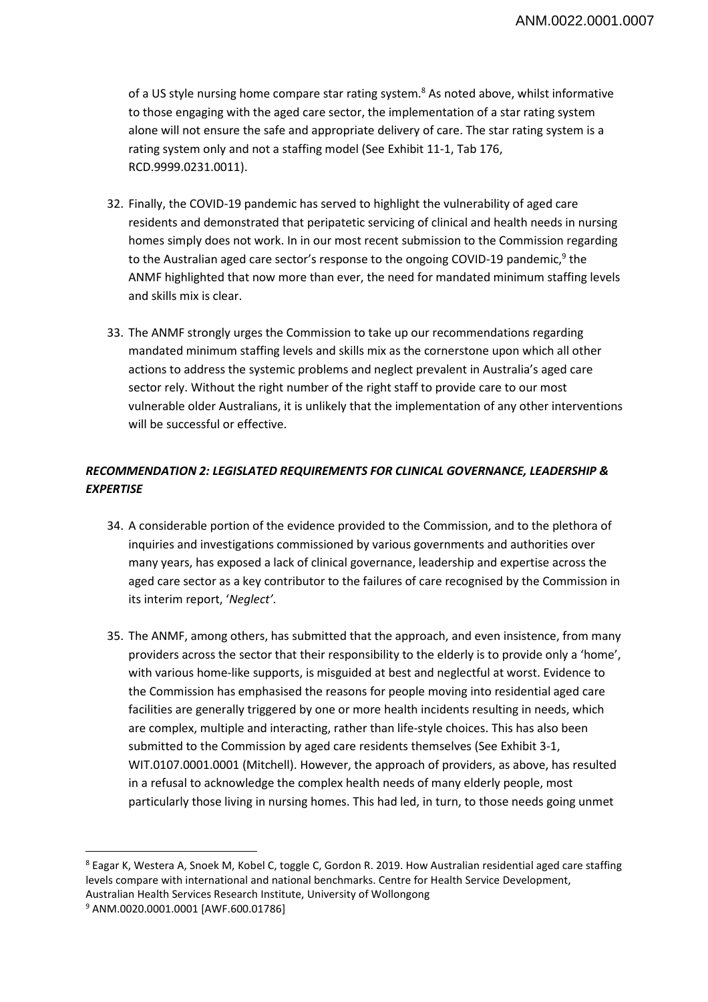of a US style nursing home compare star rating system.<sup>8</sup> As noted above, whilst informative to those engaging with the aged care sector, the implementation of a star rating system alone will not ensure the safe and appropriate delivery of care. The star rating system is a rating system only and not a staffing model (See Exhibit 11-1, Tab 176, RCD.9999.0231.0011).

- 32. Finally, the COVID-19 pandemic has served to highlight the vulnerability of aged care residents and demonstrated that peripatetic servicing of clinical and health needs in nursing homes simply does not work. In in our most recent submission to the Commission regarding to the Australian aged care sector's response to the ongoing COVID-19 pandemic,<sup>9</sup> the ANMF highlighted that now more than ever, the need for mandated minimum staffing levels and skills mix is clear.
- 33. The ANMF strongly urges the Commission to take up our recommendations regarding mandated minimum staffing levels and skills mix as the cornerstone upon which all other actions to address the systemic problems and neglect prevalent in Australia's aged care sector rely. Without the right number of the right staff to provide care to our most vulnerable older Australians, it is unlikely that the implementation of any other interventions will be successful or effective.

# *RECOMMENDATION 2: LEGISLATED REQUIREMENTS FOR CLINICAL GOVERNANCE, LEADERSHIP & EXPERTISE*

- 34. A considerable portion of the evidence provided to the Commission, and to the plethora of inquiries and investigations commissioned by various governments and authorities over many years, has exposed a lack of clinical governance, leadership and expertise across the aged care sector as a key contributor to the failures of care recognised by the Commission in its interim report, '*Neglect'*.
- 35. The ANMF, among others, has submitted that the approach, and even insistence, from many providers across the sector that their responsibility to the elderly is to provide only a 'home', with various home-like supports, is misguided at best and neglectful at worst. Evidence to the Commission has emphasised the reasons for people moving into residential aged care facilities are generally triggered by one or more health incidents resulting in needs, which are complex, multiple and interacting, rather than life-style choices. This has also been submitted to the Commission by aged care residents themselves (See Exhibit 3-1, WIT.0107.0001.0001 (Mitchell). However, the approach of providers, as above, has resulted in a refusal to acknowledge the complex health needs of many elderly people, most particularly those living in nursing homes. This had led, in turn, to those needs going unmet

 $\overline{\phantom{a}}$ 

<sup>8</sup> Eagar K, Westera A, Snoek M, Kobel C, toggle C, Gordon R. 2019. How Australian residential aged care staffing levels compare with international and national benchmarks. Centre for Health Service Development, Australian Health Services Research Institute, University of Wollongong 9

<sup>&</sup>lt;sup>9</sup> ANM.0020.0001.0001 [AWF.600.01786]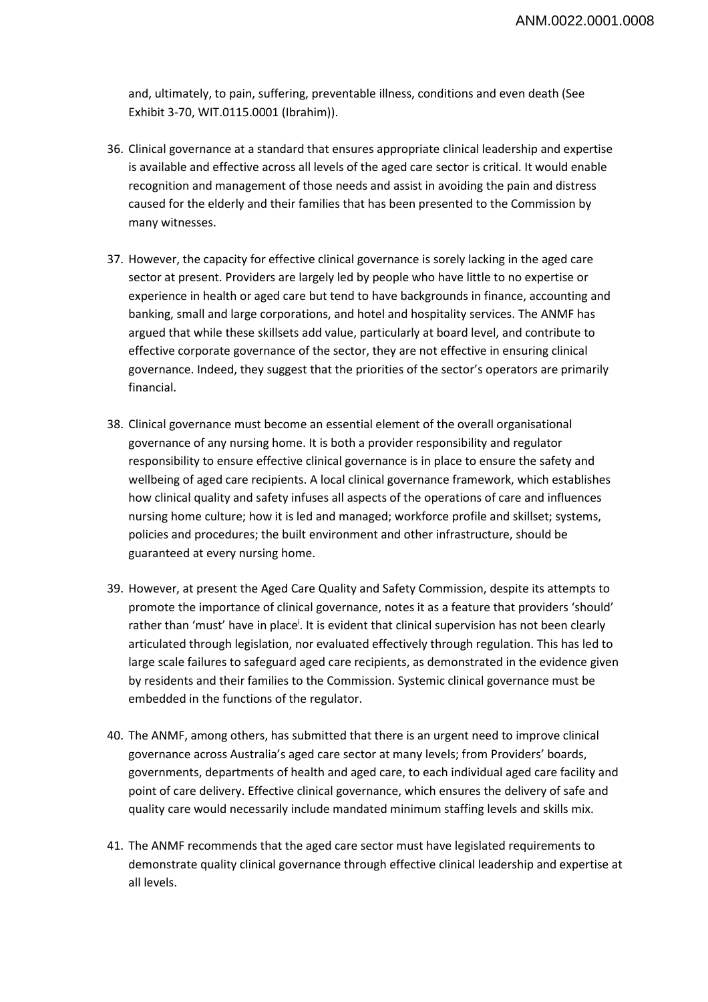and, ultimately, to pain, suffering, preventable illness, conditions and even death (See Exhibit 3-70, WIT.0115.0001 (Ibrahim)).

- 36. Clinical governance at a standard that ensures appropriate clinical leadership and expertise is available and effective across all levels of the aged care sector is critical. It would enable recognition and management of those needs and assist in avoiding the pain and distress caused for the elderly and their families that has been presented to the Commission by many witnesses.
- 37. However, the capacity for effective clinical governance is sorely lacking in the aged care sector at present. Providers are largely led by people who have little to no expertise or experience in health or aged care but tend to have backgrounds in finance, accounting and banking, small and large corporations, and hotel and hospitality services. The ANMF has argued that while these skillsets add value, particularly at board level, and contribute to effective corporate governance of the sector, they are not effective in ensuring clinical governance. Indeed, they suggest that the priorities of the sector's operators are primarily financial.
- 38. Clinical governance must become an essential element of the overall organisational governance of any nursing home. It is both a provider responsibility and regulator responsibility to ensure effective clinical governance is in place to ensure the safety and wellbeing of aged care recipients. A local clinical governance framework, which establishes how clinical quality and safety infuses all aspects of the operations of care and influences nursing home culture; how it is led and managed; workforce profile and skillset; systems, policies and procedures; the built environment and other infrastructure, should be guaranteed at every nursing home.
- 39. However, at present the Aged Care Quality and Safety Commission, despite its attempts to promote the importance of clinical governance, notes it as a feature that providers 'should' rather than 'must' have in place<sup>i</sup>. It is evident that clinical supervision has not been clearly articulated through legislation, nor evaluated effectively through regulation. This has led to large scale failures to safeguard aged care recipients, as demonstrated in the evidence given by residents and their families to the Commission. Systemic clinical governance must be embedded in the functions of the regulator.
- 40. The ANMF, among others, has submitted that there is an urgent need to improve clinical governance across Australia's aged care sector at many levels; from Providers' boards, governments, departments of health and aged care, to each individual aged care facility and point of care delivery. Effective clinical governance, which ensures the delivery of safe and quality care would necessarily include mandated minimum staffing levels and skills mix.
- 41. The ANMF recommends that the aged care sector must have legislated requirements to demonstrate quality clinical governance through effective clinical leadership and expertise at all levels.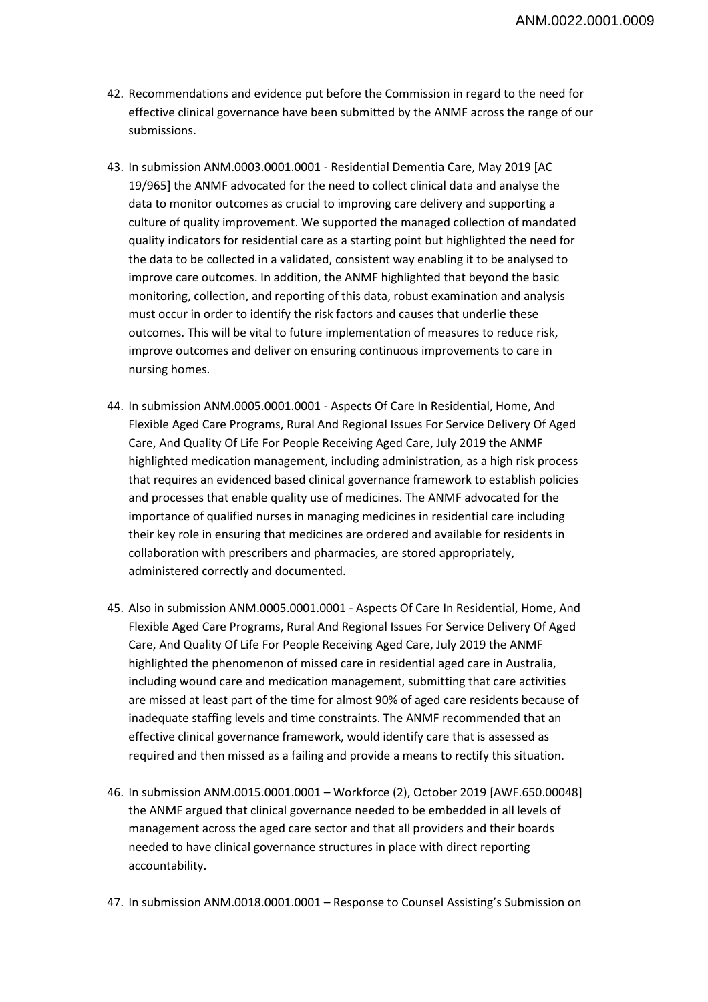- 42. Recommendations and evidence put before the Commission in regard to the need for effective clinical governance have been submitted by the ANMF across the range of our submissions.
- 43. In submission ANM.0003.0001.0001 Residential Dementia Care, May 2019 [AC 19/965] the ANMF advocated for the need to collect clinical data and analyse the data to monitor outcomes as crucial to improving care delivery and supporting a culture of quality improvement. We supported the managed collection of mandated quality indicators for residential care as a starting point but highlighted the need for the data to be collected in a validated, consistent way enabling it to be analysed to improve care outcomes. In addition, the ANMF highlighted that beyond the basic monitoring, collection, and reporting of this data, robust examination and analysis must occur in order to identify the risk factors and causes that underlie these outcomes. This will be vital to future implementation of measures to reduce risk, improve outcomes and deliver on ensuring continuous improvements to care in nursing homes.
- 44. In submission ANM.0005.0001.0001 Aspects Of Care In Residential, Home, And Flexible Aged Care Programs, Rural And Regional Issues For Service Delivery Of Aged Care, And Quality Of Life For People Receiving Aged Care, July 2019 the ANMF highlighted medication management, including administration, as a high risk process that requires an evidenced based clinical governance framework to establish policies and processes that enable quality use of medicines. The ANMF advocated for the importance of qualified nurses in managing medicines in residential care including their key role in ensuring that medicines are ordered and available for residents in collaboration with prescribers and pharmacies, are stored appropriately, administered correctly and documented.
- 45. Also in submission ANM.0005.0001.0001 Aspects Of Care In Residential, Home, And Flexible Aged Care Programs, Rural And Regional Issues For Service Delivery Of Aged Care, And Quality Of Life For People Receiving Aged Care, July 2019 the ANMF highlighted the phenomenon of missed care in residential aged care in Australia, including wound care and medication management, submitting that care activities are missed at least part of the time for almost 90% of aged care residents because of inadequate staffing levels and time constraints. The ANMF recommended that an effective clinical governance framework, would identify care that is assessed as required and then missed as a failing and provide a means to rectify this situation.
- 46. In submission ANM.0015.0001.0001 Workforce (2), October 2019 [AWF.650.00048] the ANMF argued that clinical governance needed to be embedded in all levels of management across the aged care sector and that all providers and their boards needed to have clinical governance structures in place with direct reporting accountability.
- 47. In submission ANM.0018.0001.0001 Response to Counsel Assisting's Submission on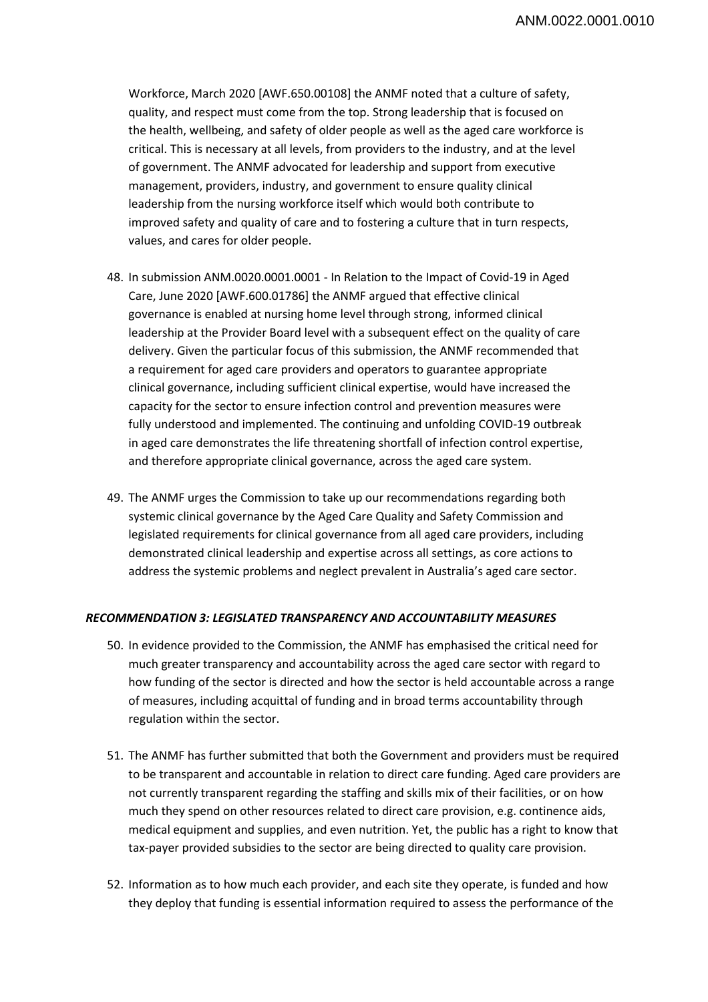Workforce, March 2020 [AWF.650.00108] the ANMF noted that a culture of safety, quality, and respect must come from the top. Strong leadership that is focused on the health, wellbeing, and safety of older people as well as the aged care workforce is critical. This is necessary at all levels, from providers to the industry, and at the level of government. The ANMF advocated for leadership and support from executive management, providers, industry, and government to ensure quality clinical leadership from the nursing workforce itself which would both contribute to improved safety and quality of care and to fostering a culture that in turn respects, values, and cares for older people.

- 48. In submission ANM.0020.0001.0001 In Relation to the Impact of Covid-19 in Aged Care, June 2020 [AWF.600.01786] the ANMF argued that effective clinical governance is enabled at nursing home level through strong, informed clinical leadership at the Provider Board level with a subsequent effect on the quality of care delivery. Given the particular focus of this submission, the ANMF recommended that a requirement for aged care providers and operators to guarantee appropriate clinical governance, including sufficient clinical expertise, would have increased the capacity for the sector to ensure infection control and prevention measures were fully understood and implemented. The continuing and unfolding COVID-19 outbreak in aged care demonstrates the life threatening shortfall of infection control expertise, and therefore appropriate clinical governance, across the aged care system.
- 49. The ANMF urges the Commission to take up our recommendations regarding both systemic clinical governance by the Aged Care Quality and Safety Commission and legislated requirements for clinical governance from all aged care providers, including demonstrated clinical leadership and expertise across all settings, as core actions to address the systemic problems and neglect prevalent in Australia's aged care sector.

#### *RECOMMENDATION 3: LEGISLATED TRANSPARENCY AND ACCOUNTABILITY MEASURES*

- 50. In evidence provided to the Commission, the ANMF has emphasised the critical need for much greater transparency and accountability across the aged care sector with regard to how funding of the sector is directed and how the sector is held accountable across a range of measures, including acquittal of funding and in broad terms accountability through regulation within the sector.
- 51. The ANMF has further submitted that both the Government and providers must be required to be transparent and accountable in relation to direct care funding. Aged care providers are not currently transparent regarding the staffing and skills mix of their facilities, or on how much they spend on other resources related to direct care provision, e.g. continence aids, medical equipment and supplies, and even nutrition. Yet, the public has a right to know that tax-payer provided subsidies to the sector are being directed to quality care provision.
- 52. Information as to how much each provider, and each site they operate, is funded and how they deploy that funding is essential information required to assess the performance of the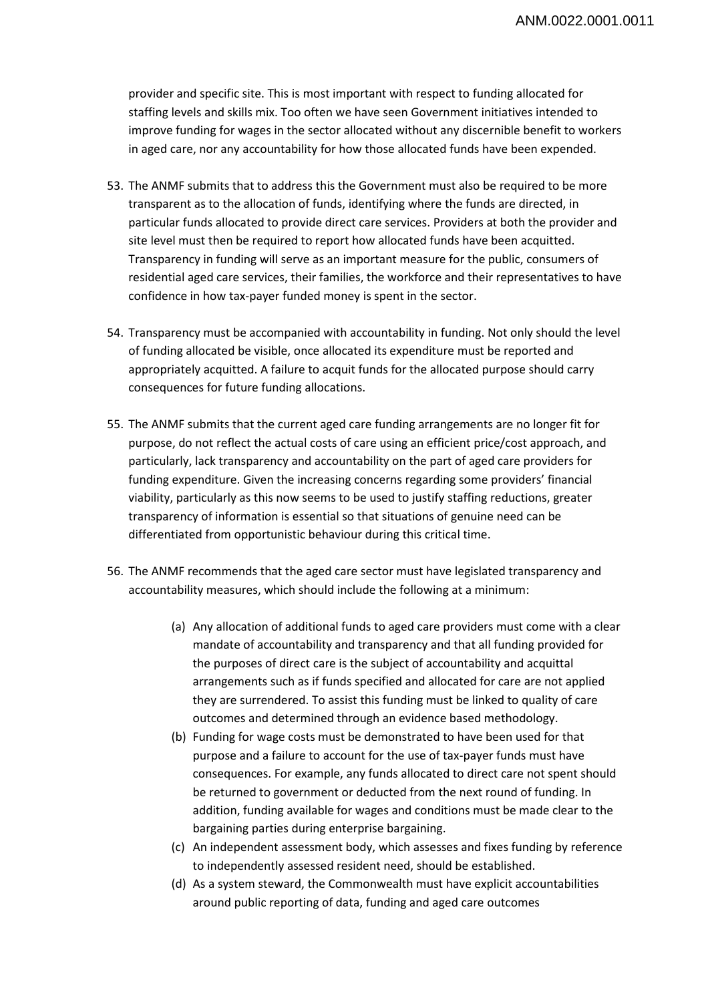provider and specific site. This is most important with respect to funding allocated for staffing levels and skills mix. Too often we have seen Government initiatives intended to improve funding for wages in the sector allocated without any discernible benefit to workers in aged care, nor any accountability for how those allocated funds have been expended.

- 53. The ANMF submits that to address this the Government must also be required to be more transparent as to the allocation of funds, identifying where the funds are directed, in particular funds allocated to provide direct care services. Providers at both the provider and site level must then be required to report how allocated funds have been acquitted. Transparency in funding will serve as an important measure for the public, consumers of residential aged care services, their families, the workforce and their representatives to have confidence in how tax-payer funded money is spent in the sector.
- 54. Transparency must be accompanied with accountability in funding. Not only should the level of funding allocated be visible, once allocated its expenditure must be reported and appropriately acquitted. A failure to acquit funds for the allocated purpose should carry consequences for future funding allocations.
- 55. The ANMF submits that the current aged care funding arrangements are no longer fit for purpose, do not reflect the actual costs of care using an efficient price/cost approach, and particularly, lack transparency and accountability on the part of aged care providers for funding expenditure. Given the increasing concerns regarding some providers' financial viability, particularly as this now seems to be used to justify staffing reductions, greater transparency of information is essential so that situations of genuine need can be differentiated from opportunistic behaviour during this critical time.
- 56. The ANMF recommends that the aged care sector must have legislated transparency and accountability measures, which should include the following at a minimum:
	- (a) Any allocation of additional funds to aged care providers must come with a clear mandate of accountability and transparency and that all funding provided for the purposes of direct care is the subject of accountability and acquittal arrangements such as if funds specified and allocated for care are not applied they are surrendered. To assist this funding must be linked to quality of care outcomes and determined through an evidence based methodology.
	- (b) Funding for wage costs must be demonstrated to have been used for that purpose and a failure to account for the use of tax-payer funds must have consequences. For example, any funds allocated to direct care not spent should be returned to government or deducted from the next round of funding. In addition, funding available for wages and conditions must be made clear to the bargaining parties during enterprise bargaining.
	- (c) An independent assessment body, which assesses and fixes funding by reference to independently assessed resident need, should be established.
	- (d) As a system steward, the Commonwealth must have explicit accountabilities around public reporting of data, funding and aged care outcomes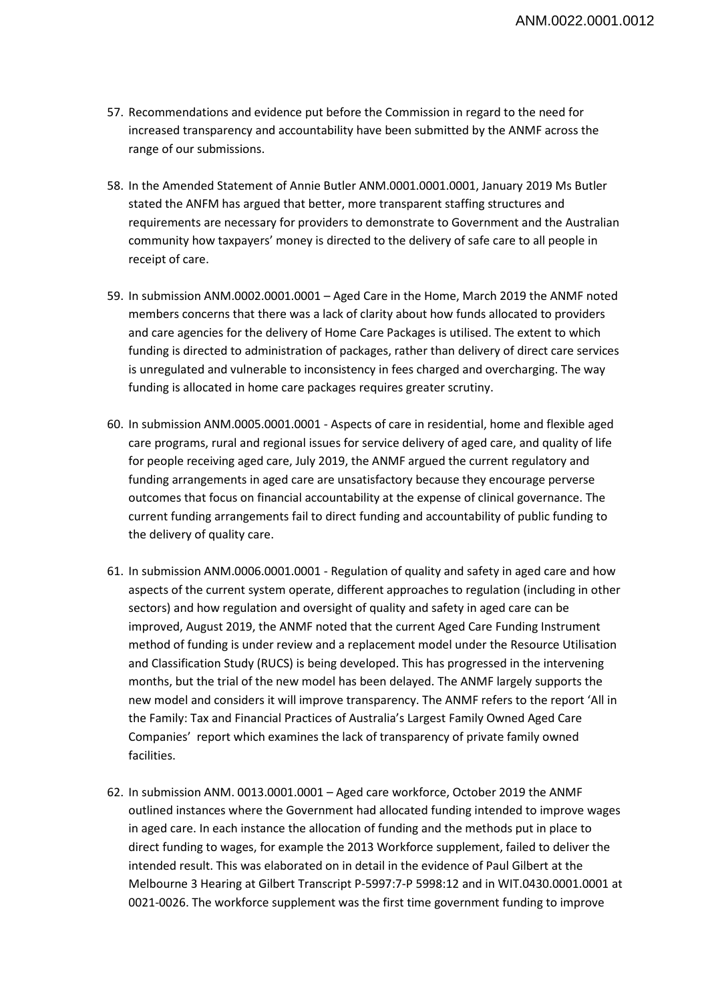- 57. Recommendations and evidence put before the Commission in regard to the need for increased transparency and accountability have been submitted by the ANMF across the range of our submissions.
- 58. In the Amended Statement of Annie Butler ANM.0001.0001.0001, January 2019 Ms Butler stated the ANFM has argued that better, more transparent staffing structures and requirements are necessary for providers to demonstrate to Government and the Australian community how taxpayers' money is directed to the delivery of safe care to all people in receipt of care.
- 59. In submission ANM.0002.0001.0001 Aged Care in the Home, March 2019 the ANMF noted members concerns that there was a lack of clarity about how funds allocated to providers and care agencies for the delivery of Home Care Packages is utilised. The extent to which funding is directed to administration of packages, rather than delivery of direct care services is unregulated and vulnerable to inconsistency in fees charged and overcharging. The way funding is allocated in home care packages requires greater scrutiny.
- 60. In submission ANM.0005.0001.0001 Aspects of care in residential, home and flexible aged care programs, rural and regional issues for service delivery of aged care, and quality of life for people receiving aged care, July 2019, the ANMF argued the current regulatory and funding arrangements in aged care are unsatisfactory because they encourage perverse outcomes that focus on financial accountability at the expense of clinical governance. The current funding arrangements fail to direct funding and accountability of public funding to the delivery of quality care.
- 61. In submission ANM.0006.0001.0001 Regulation of quality and safety in aged care and how aspects of the current system operate, different approaches to regulation (including in other sectors) and how regulation and oversight of quality and safety in aged care can be improved, August 2019, the ANMF noted that the current Aged Care Funding Instrument method of funding is under review and a replacement model under the Resource Utilisation and Classification Study (RUCS) is being developed. This has progressed in the intervening months, but the trial of the new model has been delayed. The ANMF largely supports the new model and considers it will improve transparency. The ANMF refers to the report 'All in the Family: Tax and Financial Practices of Australia's Largest Family Owned Aged Care Companies' report which examines the lack of transparency of private family owned facilities.
- 62. In submission ANM. 0013.0001.0001 Aged care workforce, October 2019 the ANMF outlined instances where the Government had allocated funding intended to improve wages in aged care. In each instance the allocation of funding and the methods put in place to direct funding to wages, for example the 2013 Workforce supplement, failed to deliver the intended result. This was elaborated on in detail in the evidence of Paul Gilbert at the Melbourne 3 Hearing at Gilbert Transcript P-5997:7-P 5998:12 and in WIT.0430.0001.0001 at 0021-0026. The workforce supplement was the first time government funding to improve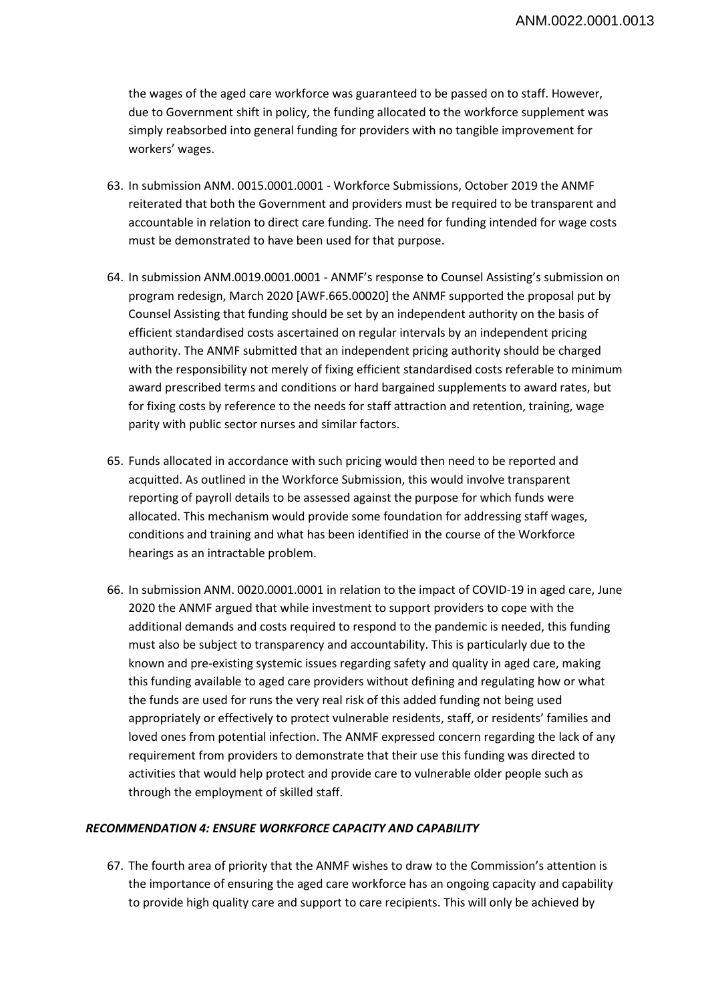the wages of the aged care workforce was guaranteed to be passed on to staff. However, due to Government shift in policy, the funding allocated to the workforce supplement was simply reabsorbed into general funding for providers with no tangible improvement for workers' wages.

- 63. In submission ANM. 0015.0001.0001 Workforce Submissions, October 2019 the ANMF reiterated that both the Government and providers must be required to be transparent and accountable in relation to direct care funding. The need for funding intended for wage costs must be demonstrated to have been used for that purpose.
- 64. In submission ANM.0019.0001.0001 ANMF's response to Counsel Assisting's submission on program redesign, March 2020 [AWF.665.00020] the ANMF supported the proposal put by Counsel Assisting that funding should be set by an independent authority on the basis of efficient standardised costs ascertained on regular intervals by an independent pricing authority. The ANMF submitted that an independent pricing authority should be charged with the responsibility not merely of fixing efficient standardised costs referable to minimum award prescribed terms and conditions or hard bargained supplements to award rates, but for fixing costs by reference to the needs for staff attraction and retention, training, wage parity with public sector nurses and similar factors.
- 65. Funds allocated in accordance with such pricing would then need to be reported and acquitted. As outlined in the Workforce Submission, this would involve transparent reporting of payroll details to be assessed against the purpose for which funds were allocated. This mechanism would provide some foundation for addressing staff wages, conditions and training and what has been identified in the course of the Workforce hearings as an intractable problem.
- 66. In submission ANM. 0020.0001.0001 in relation to the impact of COVID-19 in aged care, June 2020 the ANMF argued that while investment to support providers to cope with the additional demands and costs required to respond to the pandemic is needed, this funding must also be subject to transparency and accountability. This is particularly due to the known and pre-existing systemic issues regarding safety and quality in aged care, making this funding available to aged care providers without defining and regulating how or what the funds are used for runs the very real risk of this added funding not being used appropriately or effectively to protect vulnerable residents, staff, or residents' families and loved ones from potential infection. The ANMF expressed concern regarding the lack of any requirement from providers to demonstrate that their use this funding was directed to activities that would help protect and provide care to vulnerable older people such as through the employment of skilled staff.

## *RECOMMENDATION 4: ENSURE WORKFORCE CAPACITY AND CAPABILITY*

67. The fourth area of priority that the ANMF wishes to draw to the Commission's attention is the importance of ensuring the aged care workforce has an ongoing capacity and capability to provide high quality care and support to care recipients. This will only be achieved by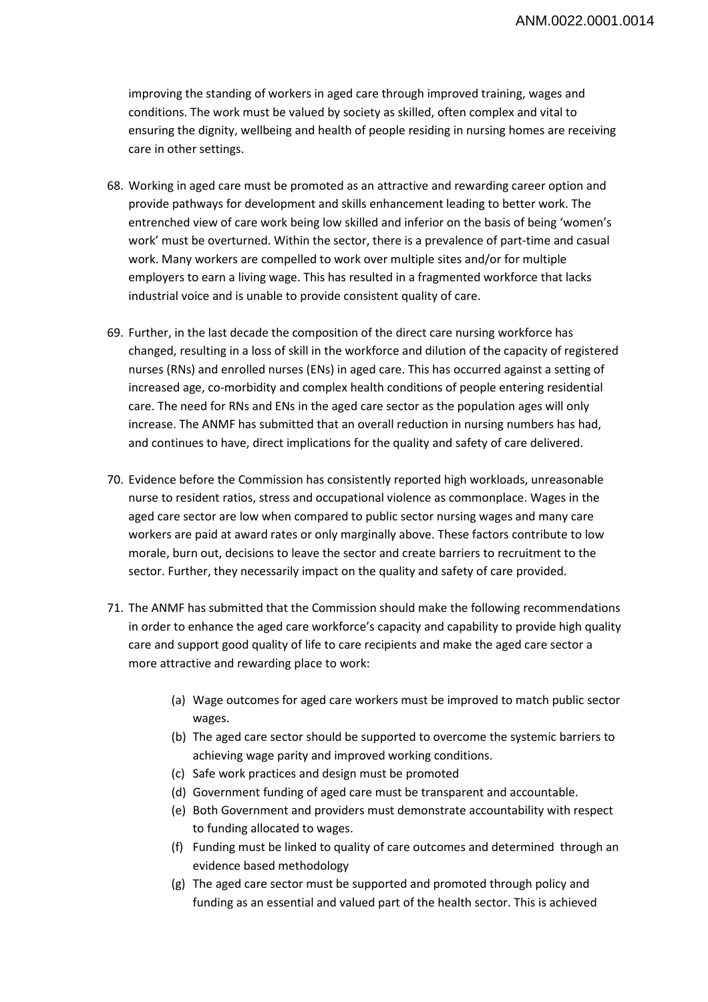improving the standing of workers in aged care through improved training, wages and conditions. The work must be valued by society as skilled, often complex and vital to ensuring the dignity, wellbeing and health of people residing in nursing homes are receiving care in other settings.

- 68. Working in aged care must be promoted as an attractive and rewarding career option and provide pathways for development and skills enhancement leading to better work. The entrenched view of care work being low skilled and inferior on the basis of being 'women's work' must be overturned. Within the sector, there is a prevalence of part-time and casual work. Many workers are compelled to work over multiple sites and/or for multiple employers to earn a living wage. This has resulted in a fragmented workforce that lacks industrial voice and is unable to provide consistent quality of care.
- 69. Further, in the last decade the composition of the direct care nursing workforce has changed, resulting in a loss of skill in the workforce and dilution of the capacity of registered nurses (RNs) and enrolled nurses (ENs) in aged care. This has occurred against a setting of increased age, co-morbidity and complex health conditions of people entering residential care. The need for RNs and ENs in the aged care sector as the population ages will only increase. The ANMF has submitted that an overall reduction in nursing numbers has had, and continues to have, direct implications for the quality and safety of care delivered.
- 70. Evidence before the Commission has consistently reported high workloads, unreasonable nurse to resident ratios, stress and occupational violence as commonplace. Wages in the aged care sector are low when compared to public sector nursing wages and many care workers are paid at award rates or only marginally above. These factors contribute to low morale, burn out, decisions to leave the sector and create barriers to recruitment to the sector. Further, they necessarily impact on the quality and safety of care provided.
- 71. The ANMF has submitted that the Commission should make the following recommendations in order to enhance the aged care workforce's capacity and capability to provide high quality care and support good quality of life to care recipients and make the aged care sector a more attractive and rewarding place to work:
	- (a) Wage outcomes for aged care workers must be improved to match public sector wages.
	- (b) The aged care sector should be supported to overcome the systemic barriers to achieving wage parity and improved working conditions.
	- (c) Safe work practices and design must be promoted
	- (d) Government funding of aged care must be transparent and accountable.
	- (e) Both Government and providers must demonstrate accountability with respect to funding allocated to wages.
	- (f) Funding must be linked to quality of care outcomes and determined through an evidence based methodology
	- (g) The aged care sector must be supported and promoted through policy and funding as an essential and valued part of the health sector. This is achieved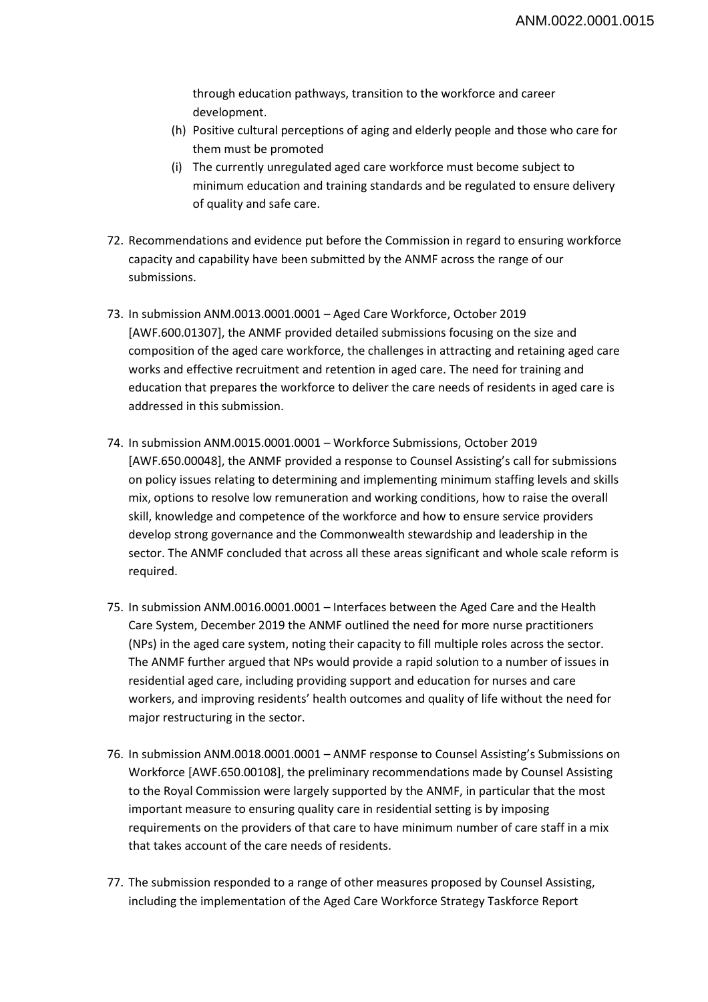through education pathways, transition to the workforce and career development.

- (h) Positive cultural perceptions of aging and elderly people and those who care for them must be promoted
- (i) The currently unregulated aged care workforce must become subject to minimum education and training standards and be regulated to ensure delivery of quality and safe care.
- 72. Recommendations and evidence put before the Commission in regard to ensuring workforce capacity and capability have been submitted by the ANMF across the range of our submissions.
- 73. In submission ANM.0013.0001.0001 Aged Care Workforce, October 2019 [AWF.600.01307], the ANMF provided detailed submissions focusing on the size and composition of the aged care workforce, the challenges in attracting and retaining aged care works and effective recruitment and retention in aged care. The need for training and education that prepares the workforce to deliver the care needs of residents in aged care is addressed in this submission.
- 74. In submission ANM.0015.0001.0001 Workforce Submissions, October 2019 [AWF.650.00048], the ANMF provided a response to Counsel Assisting's call for submissions on policy issues relating to determining and implementing minimum staffing levels and skills mix, options to resolve low remuneration and working conditions, how to raise the overall skill, knowledge and competence of the workforce and how to ensure service providers develop strong governance and the Commonwealth stewardship and leadership in the sector. The ANMF concluded that across all these areas significant and whole scale reform is required.
- 75. In submission ANM.0016.0001.0001 Interfaces between the Aged Care and the Health Care System, December 2019 the ANMF outlined the need for more nurse practitioners (NPs) in the aged care system, noting their capacity to fill multiple roles across the sector. The ANMF further argued that NPs would provide a rapid solution to a number of issues in residential aged care, including providing support and education for nurses and care workers, and improving residents' health outcomes and quality of life without the need for major restructuring in the sector.
- 76. In submission ANM.0018.0001.0001 ANMF response to Counsel Assisting's Submissions on Workforce [AWF.650.00108], the preliminary recommendations made by Counsel Assisting to the Royal Commission were largely supported by the ANMF, in particular that the most important measure to ensuring quality care in residential setting is by imposing requirements on the providers of that care to have minimum number of care staff in a mix that takes account of the care needs of residents.
- 77. The submission responded to a range of other measures proposed by Counsel Assisting, including the implementation of the Aged Care Workforce Strategy Taskforce Report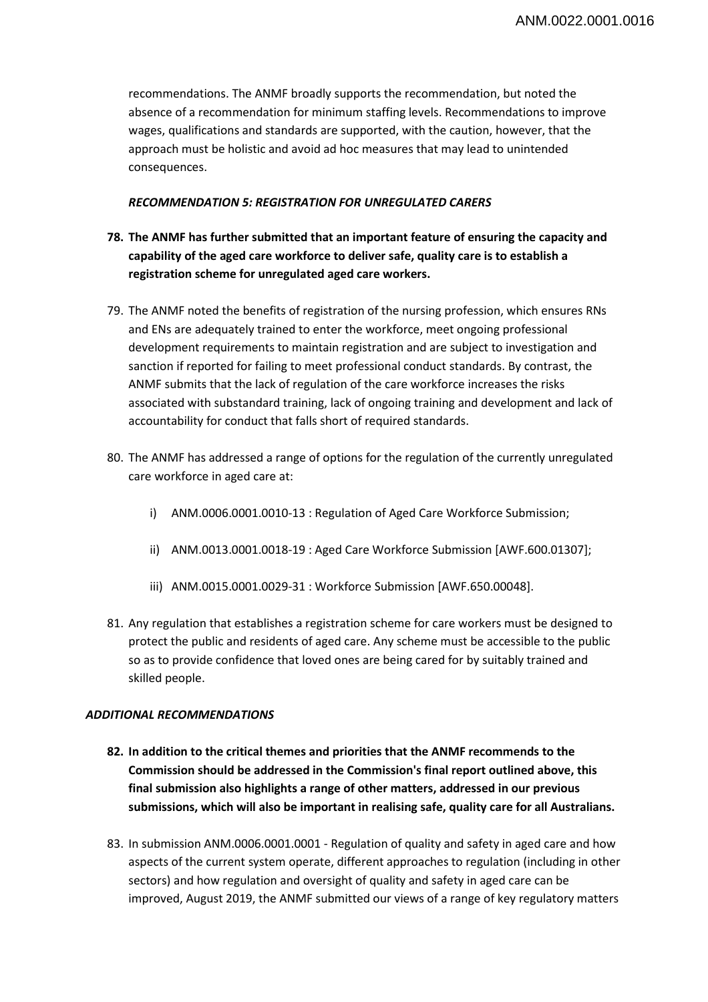recommendations. The ANMF broadly supports the recommendation, but noted the absence of a recommendation for minimum staffing levels. Recommendations to improve wages, qualifications and standards are supported, with the caution, however, that the approach must be holistic and avoid ad hoc measures that may lead to unintended consequences.

## *RECOMMENDATION 5: REGISTRATION FOR UNREGULATED CARERS*

- **78. The ANMF has further submitted that an important feature of ensuring the capacity and capability of the aged care workforce to deliver safe, quality care is to establish a registration scheme for unregulated aged care workers.**
- 79. The ANMF noted the benefits of registration of the nursing profession, which ensures RNs and ENs are adequately trained to enter the workforce, meet ongoing professional development requirements to maintain registration and are subject to investigation and sanction if reported for failing to meet professional conduct standards. By contrast, the ANMF submits that the lack of regulation of the care workforce increases the risks associated with substandard training, lack of ongoing training and development and lack of accountability for conduct that falls short of required standards.
- 80. The ANMF has addressed a range of options for the regulation of the currently unregulated care workforce in aged care at:
	- i) ANM.0006.0001.0010-13 : Regulation of Aged Care Workforce Submission;
	- ii) ANM.0013.0001.0018-19 : Aged Care Workforce Submission [AWF.600.01307];
	- iii) ANM.0015.0001.0029-31 : Workforce Submission [AWF.650.00048].
- 81. Any regulation that establishes a registration scheme for care workers must be designed to protect the public and residents of aged care. Any scheme must be accessible to the public so as to provide confidence that loved ones are being cared for by suitably trained and skilled people.

## *ADDITIONAL RECOMMENDATIONS*

- **82. In addition to the critical themes and priorities that the ANMF recommends to the Commission should be addressed in the Commission's final report outlined above, this final submission also highlights a range of other matters, addressed in our previous submissions, which will also be important in realising safe, quality care for all Australians.**
- 83. In submission ANM.0006.0001.0001 Regulation of quality and safety in aged care and how aspects of the current system operate, different approaches to regulation (including in other sectors) and how regulation and oversight of quality and safety in aged care can be improved, August 2019, the ANMF submitted our views of a range of key regulatory matters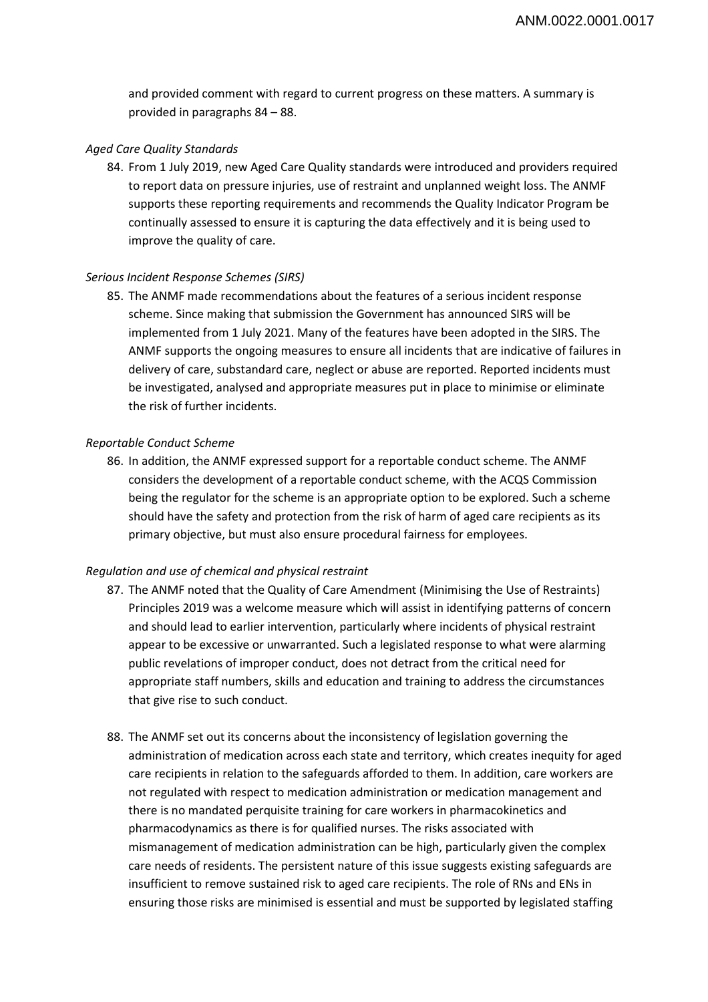and provided comment with regard to current progress on these matters. A summary is provided in paragraphs 84 – 88.

#### *Aged Care Quality Standards*

84. From 1 July 2019, new Aged Care Quality standards were introduced and providers required to report data on pressure injuries, use of restraint and unplanned weight loss. The ANMF supports these reporting requirements and recommends the Quality Indicator Program be continually assessed to ensure it is capturing the data effectively and it is being used to improve the quality of care.

#### *Serious Incident Response Schemes (SIRS)*

85. The ANMF made recommendations about the features of a serious incident response scheme. Since making that submission the Government has announced SIRS will be implemented from 1 July 2021. Many of the features have been adopted in the SIRS. The ANMF supports the ongoing measures to ensure all incidents that are indicative of failures in delivery of care, substandard care, neglect or abuse are reported. Reported incidents must be investigated, analysed and appropriate measures put in place to minimise or eliminate the risk of further incidents.

#### *Reportable Conduct Scheme*

86. In addition, the ANMF expressed support for a reportable conduct scheme. The ANMF considers the development of a reportable conduct scheme, with the ACQS Commission being the regulator for the scheme is an appropriate option to be explored. Such a scheme should have the safety and protection from the risk of harm of aged care recipients as its primary objective, but must also ensure procedural fairness for employees.

#### *Regulation and use of chemical and physical restraint*

- 87. The ANMF noted that the Quality of Care Amendment (Minimising the Use of Restraints) Principles 2019 was a welcome measure which will assist in identifying patterns of concern and should lead to earlier intervention, particularly where incidents of physical restraint appear to be excessive or unwarranted. Such a legislated response to what were alarming public revelations of improper conduct, does not detract from the critical need for appropriate staff numbers, skills and education and training to address the circumstances that give rise to such conduct.
- 88. The ANMF set out its concerns about the inconsistency of legislation governing the administration of medication across each state and territory, which creates inequity for aged care recipients in relation to the safeguards afforded to them. In addition, care workers are not regulated with respect to medication administration or medication management and there is no mandated perquisite training for care workers in pharmacokinetics and pharmacodynamics as there is for qualified nurses. The risks associated with mismanagement of medication administration can be high, particularly given the complex care needs of residents. The persistent nature of this issue suggests existing safeguards are insufficient to remove sustained risk to aged care recipients. The role of RNs and ENs in ensuring those risks are minimised is essential and must be supported by legislated staffing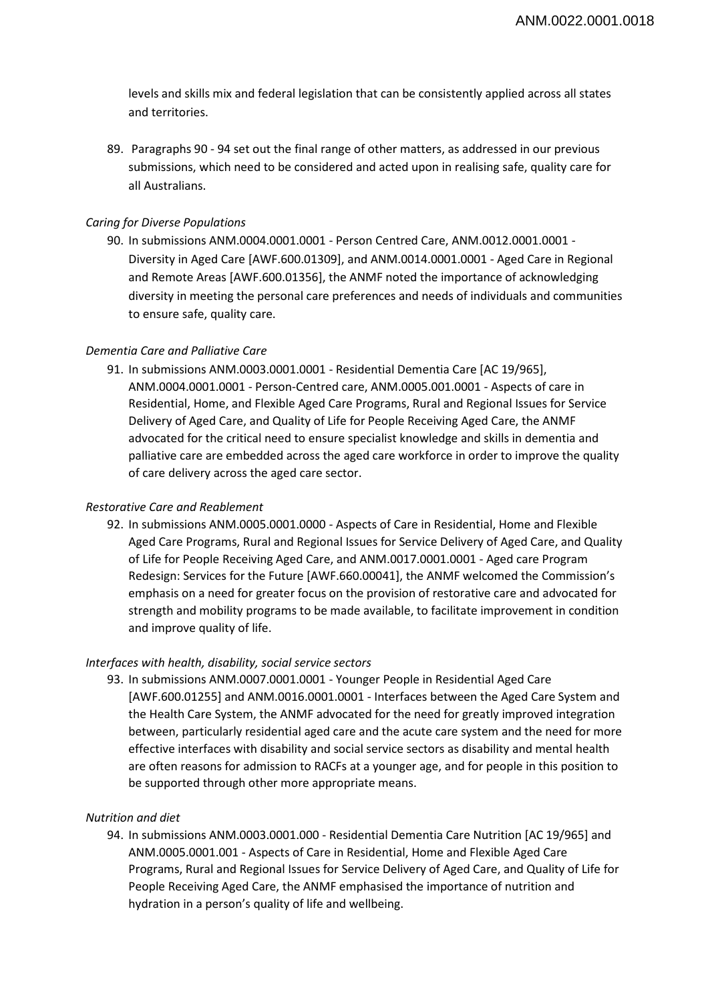levels and skills mix and federal legislation that can be consistently applied across all states and territories.

89. Paragraphs 90 - 94 set out the final range of other matters, as addressed in our previous submissions, which need to be considered and acted upon in realising safe, quality care for all Australians.

#### *Caring for Diverse Populations*

90. In submissions ANM.0004.0001.0001 - Person Centred Care, ANM.0012.0001.0001 - Diversity in Aged Care [AWF.600.01309], and ANM.0014.0001.0001 - Aged Care in Regional and Remote Areas [AWF.600.01356], the ANMF noted the importance of acknowledging diversity in meeting the personal care preferences and needs of individuals and communities to ensure safe, quality care.

#### *Dementia Care and Palliative Care*

91. In submissions ANM.0003.0001.0001 - Residential Dementia Care [AC 19/965], ANM.0004.0001.0001 - Person-Centred care, ANM.0005.001.0001 - Aspects of care in Residential, Home, and Flexible Aged Care Programs, Rural and Regional Issues for Service Delivery of Aged Care, and Quality of Life for People Receiving Aged Care, the ANMF advocated for the critical need to ensure specialist knowledge and skills in dementia and palliative care are embedded across the aged care workforce in order to improve the quality of care delivery across the aged care sector.

#### *Restorative Care and Reablement*

92. In submissions ANM.0005.0001.0000 - Aspects of Care in Residential, Home and Flexible Aged Care Programs, Rural and Regional Issues for Service Delivery of Aged Care, and Quality of Life for People Receiving Aged Care, and ANM.0017.0001.0001 - Aged care Program Redesign: Services for the Future [AWF.660.00041], the ANMF welcomed the Commission's emphasis on a need for greater focus on the provision of restorative care and advocated for strength and mobility programs to be made available, to facilitate improvement in condition and improve quality of life.

#### *Interfaces with health, disability, social service sectors*

93. In submissions ANM.0007.0001.0001 - Younger People in Residential Aged Care [AWF.600.01255] and ANM.0016.0001.0001 - Interfaces between the Aged Care System and the Health Care System, the ANMF advocated for the need for greatly improved integration between, particularly residential aged care and the acute care system and the need for more effective interfaces with disability and social service sectors as disability and mental health are often reasons for admission to RACFs at a younger age, and for people in this position to be supported through other more appropriate means.

#### *Nutrition and diet*

94. In submissions ANM.0003.0001.000 - Residential Dementia Care Nutrition [AC 19/965] and ANM.0005.0001.001 - Aspects of Care in Residential, Home and Flexible Aged Care Programs, Rural and Regional Issues for Service Delivery of Aged Care, and Quality of Life for People Receiving Aged Care, the ANMF emphasised the importance of nutrition and hydration in a person's quality of life and wellbeing.